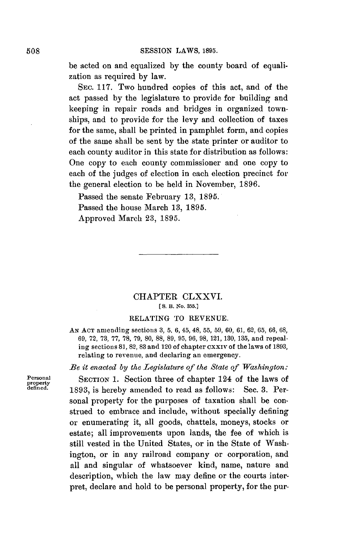be acted on and equalized **by** the county board of equalization as required **by** law.

SEC. **117.** Two hundred copies of this act, and of the act passed **by** the legislature to provide for building and keeping in repair roads and bridges in organized townships, and to provide for the levy and collection of taxes for the same, shall be printed in pamphlet form, and copies of the same shall be sent **by** the state printer or auditor to each county auditor in this state for distribution as follows: One copy to each county commissioner and one copy to each of the judges of election in each election precinct for the general election to be held in November, **1896.**

Passed the senate February **13, 1895.** Passed the house March **13, 1895.** Approved March **23, 1895.**

## CHAPTER CLXXVI. **[ S.** B. No. **355.]**

### **RELATING** TO **REVENUE.**

**AN ACT** amending sections **3, 5, 6, 45, 48, 55, 59, 60, 61, 62, 65, 66, 68, 69, 72, 73, 77, 78, 79, 80, 88, 89, 95, 96, 98, 121, 130, 135,** and repealing sections **81,** 82, **<sup>83</sup>**and 120 of chapter cxxiv of the laws of **1893,** relating to revenue, and declaring an emergency.

*Be it enacted by the Legislature of the State of Washington:*

**Personal** SECTION 1. Section three of chapter 124 of the laws of defined. 1893, is hereby amended to read as follows: Sec. 3. Personal property for the purposes of taxation shall be construed to embrace and include, without specially defining or enumerating it, all goods, chattels, moneys, stocks or estate; all improvements upon lands, the fee of which is still vested in the United States, or in the State of Washington, or in any railroad company or corporation, and all and singular of whatsoever kind, name, nature and description, which the law may define or the courts interpret, declare and hold to be personal property, for the pur-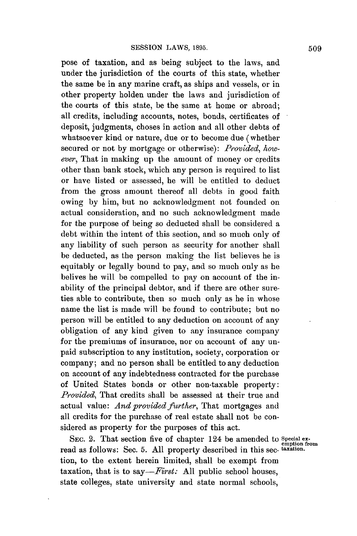pose of taxation, and as being subject to the laws, and under the jurisdiction of the courts of this state, whether the same be in any marine craft, as ships and vessels, or in other property holden under the laws and jurisdiction of the courts of this state, be the same at home or abroad; all credits, including accounts, notes, bonds, certificates of deposit, judgments, choses in action and **all** other debts of whatsoever kind or nature, due or to become due (whether secured or not **by** mortgage or otherwise): *Provided, however,* That in making up the amount of money or credits other than bank stock, which any person is required to list or have listed or assessed, he will be entitled to deduct from the gross amount thereof all debts in good faith owing **by** him, but no acknowledgment not founded on actual consideration, and no such acknowledgment made for the purpose of being so deducted shall be considered a debt within the intent of this section, and so much only of any liability of such person as security for another shall be deducted, as the person making the list believes he is equitably or legally bound to pay, and so much only as he belives he will be compelled to pay on account of the inability of the principal debtor, and if there are other sureties able to contribute, then so much only as he in whose name the list is made will be found to contribute; but no person will be entitled to any deduction on account of any obligation of any kind given to any insurance company for the premiums of insurance, nor on account of any unpaid subscription to any institution, society, corporation or company; and no person shall be entitled to any deduction on account of any indebtedness contracted for the purchase of United States bonds or other non-taxable property: *Provided,* That credits shall be assessed at their true and actual value: *And provided further,* That mortgages and all credits for the purchase of real estate shall not be considered as property for the purposes of this act.

SEC. 2. That section five of chapter 124 be amended to *Special examption* from read as follows: Sec. **5. All** property described in this sec- **taxation.** tion, to the extent herein limited, shall be exempt from taxation, that is to *say-First:* **All** public school houses, state colleges, state university and state normal schools,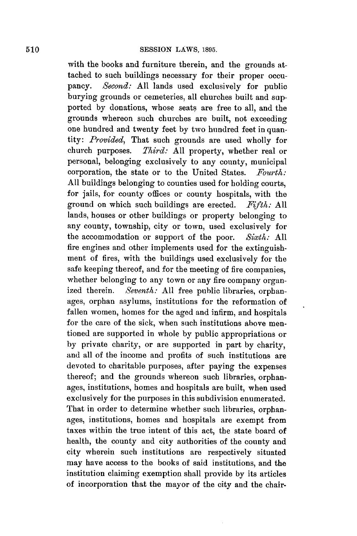with the books and furniture therein, and the grounds attached to such buildings necessary for their proper occupancy. *Second:* **All** lands used exclusively for public burying grounds or cemeteries, all churches built and supported **by** donations, whose seats are free to all, and the grounds whereon such churches are built, not exceeding one hundred and twenty feet **by** two hundred feet in quan*tity: Provided,* That such grounds are used wholly for church purposes. *Third:* **All** property, whether real or personal, belonging exclusively to any county, municipal corporation, the state or to the United States. *Fourth:* **All** buildings belonging to counties used for holding courts, for jails, for county offices or county hospitals, with the ground on which such buildings are erected. *Fifth: All* lands, houses or other buildings or property belonging to any county, township, city or town, used exclusively for the accommodation or support of the poor. *Sixth:* **All** fire engines and other implements used for the extinguishment of fires, with the buildings used exclusively for the safe keeping thereof, and for the meeting of fire companies, whether belonging to any town or any fire company organized therein. *Seventh:* **All** free public libraries, orphanages, orphan asylums, institutions for the reformation of fallen women, homes for the aged and infirm, and hospitals for the care of the sick, when such institutions above mentioned are supported in whole **by** public appropriations or **by** private charity, or are supported in part **by** charity, and all of the income and profits of such institutions are devoted to charitable purposes, after paying the expenses thereof; and the grounds whereon such libraries, orphanages, institutions, homes and hospitals are built, when used exclusively for the purposes in this subdivision enumerated. That in order to determine whether such libraries, orphanages, institutions, homes and hospitals are exempt from taxes within the true intent of this act, the state board of health, the county and city authorities of the county and city wherein such institutions are respectively situated may have access to the books of said institutions, and the institution claiming exemption shall provide **by** its articles of incorporation that the mayor of the city and the chair-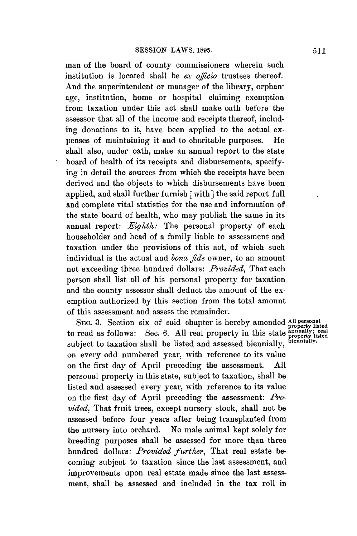man of the board of county commissioners wherein such institution is located shall be *ex oficio* trustees thereof. And the superintendent or manager of the library, orphanage, institution, home or hospital claiming exemption from taxation under this act shall make oath before the assessor that all of the income and receipts thereof, including donations to it, have been applied to the actual expenses of maintaining it and to charitable purposes. He shall also, under oath, make an annual report to the state board of health of its receipts and disbursements, specifying in detail the sources from which the receipts have been derived and the objects to which disbursements have been applied, and shall further furnish [with] the said report full and complete vital statistics for the use and information of the state board of health, who may publish the same in its annual report: *Eighth:* The personal property of each householder and head of a family liable to assessment and taxation under the provisions of this act, of which such individual is the actual and *bona fde* owner, to an amount not exceeding three hundred dollars: *Provided,* That each person shall list all of his personal property for taxation and the county assessor shall deduct the amount of the exemption authorized **by** this section from the total amount of this assessment and assess the remainder.

SEc. **3.** Section six of said chapter is hereby amended **All personal property listed** to read as follows: Sec. 6. All real property in this state *annually*; real subject to taxation shall be listed and assessed biennially, *biennially*. on every odd numbered year, with reference to its value on the first day of April preceding the assessment. **All** personal property in this state, subject to taxation, shall be listed and assessed every year, with reference to its value on the first day of April preceding the assessment: *Provided,* That fruit trees, except nursery stock, shall not be assessed before four years after being transplanted from the nursery into orchard. No male animal kept solely for breeding purposes shall be assessed for more than three hundred dollars: *Provided further,* That real estate becoming subject to taxation since the last assessment, and improvements upon real estate made since the last assessment, shall be assessed and included in the tax roll in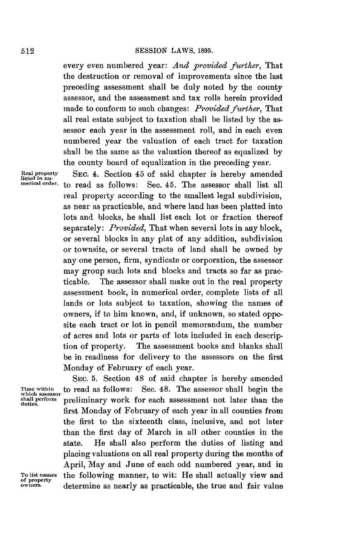every even numbered year: *And provided further,* That the destruction or removal of improvements since the last preceding assessment shall be duly noted **by** the county assessor, and the assessment and tax rolls herein provided made to conform to such changes: *Provided further,* That all real estate subject to taxation shall be listed **by** the assessor each year in the assessment roll, and in each even numbered year the valuation of each tract for taxation shall be the same as the valuation thereof as equalized **by** the county board of equalization in the preceding year.

**Real property** SEC. 4. Section 45 of said chapter is hereby amended **listed in nu- merical order.** to read as follows: Sec. 45. The assessor shall list all real property according to the smallest legal subdivision, as near as practicable, and where land has been platted into lots and blocks, he shall list each lot or fraction thereof separately: *Provided,* That when several lots in any block, or several blocks in any plat of any addition, subdivision or townsite, or several tracts of land shall be owned **by** any one person, firm, syndicate or corporation, the assessor may group such lots and blocks and tracts so far as practicable. The assessor shall make out in the real property assessment book, in numerical order, complete lists of all lands or lots subject to taxation, showing the names of owners, if to him known, and, if unknown, so stated opposite each tract or lot in pencil memorandum, the number of acres and lots or parts of lots included in each description of property. The assessment books and blanks shall be in readiness for delivery to the assessors on the first Monday of February of each year.

**SEc. 5.** Section 48 of said chapter is hereby amended **Time within** to read as follows: Sec. 48. The assessor shall begin the **which assessor** a **shall perform** preliminary work for each assessment not later than the **duties.** first Monday of February of each year in all counties from the first to the sixteenth class, inclusive, and not later than the first day of March in all other counties in the state. He shall also perform the duties of listing and placing valuations on all real property during the months of April, May and June of each odd numbered year, and in **To list names** the following manner, to wit: He shall actually view and **of property** determine as nearly as practicable, the true and fair value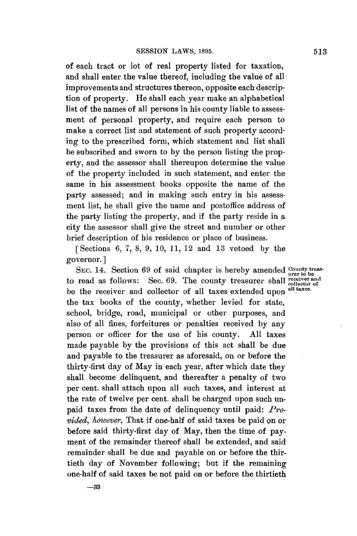of each tract or lot of real property listed for taxation, and shall enter the value thereof, including the value of all improvements and structures thereon, opposite each description of property. He shall each year make an alphabetical list of the names of all persons in his county liable to assessment of personal property, and require each person to make a correct list and statement of such property according to the prescribed form, which statement and list shall be subscribed and sworn to **by** the person listing the property, and the assessor shall thereupon determine the value of the property included in such statement, and enter the same in his assessment books opposite the name of the party assessed; and in making such entry in his assessment list, he shall give the name and postoffice address of the party listing the property, and if the party reside in **a** city the assessor shall give the street and number or other brief description of his residence or place of business,

[Sections **6, 7, 8, 9,** *10,* **11,** 12 and **13** vetoed **by** the governor. **]**

SEC. 14. Section 69 of said chapter is hereby amended *County treas*to read as follows: Sec. **69.** The county treasurer shall **reciverand** be the receiver and collector of all taxes extended upon <sup>all taxes.</sup> the tax books of the county, whether levied for state, school, bridge, road, municipal or other purposes, and also of all fines, forfeitures or penalties received **by** any person or officer for the use of his county. **All** taxes made payable **by** the provisions of this act shall be due and payable to the treasurer as aforesaid, on or before the thirty-first day of May in each year, after which date they shall become delinquent, and thereafter a penalty of two per cent. shall attach upon all such taxes, and interest at the rate of twelve per cent. shall be charged upon such unpaid taxes from the date of delinquency until paid: *Provided, however,* That if one-half of said taxes be paid on or before said thirty-first day of May, then the time of payment of the remainder thereof shall be extended, and said remainder shall be due and payable on or before the thirtieth day of November following; but if the remaining one-half of said taxes be not paid on or before the thirtieth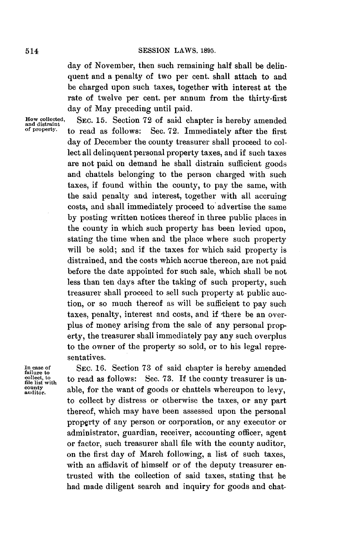day of November, then such remaining half shall be delinquent and a penalty of two per cent. shall attach to and be charged upon such taxes, together with interest at the rate of twelve per cent. per annum from the thirty-first day of May preceding until paid.

**How collected, SEC. 15.** Section **72** of said chapter is hereby amended **and distraint** Sec. 72. Immediately after the first day of December the county treasurer shall proceed to collect all delinquent personal property taxes, and if such taxes are not paid on demand he shall distrain sufficient goods and chattels belonging to the person charged with such taxes, if found within the county, to pay the same, with the said penalty and interest, together with all accruing costs, and shall immediately proceed to advertise the same **by** posting written notices thereof in three public places in the county in which such property has been levied upon, stating the time when and the place where such property will be sold; and if the taxes for which said property is distrained, and the costs which accrue thereon, are not paid before the date appointed for such sale, which shall be not less than ten days after the taking of such property, such treasurer shall proceed to sell such property at public auction, or so much thereof as will be sufficient to pay such taxes, penalty, interest and costs, and if there be an overplus of money arising from the sale of any personal property, the treasurer shall immediately pay any such overplus to the owner of the property so sold, or to his legal representatives.

In case of SEC. 16. Section 73 of said chapter is hereby amended collect, to coald as follows: Sec. 73. If the county treasurer is un**collect**, to **to** read as follows: Sec. 73. If the county treasurer is un-<br>file list with **file list with** county and **f** *conds* or chattels whereupon to low. county able, for the want of goods or chattels whereupon to levy, to collect **by** distress or otherwise the taxes, or any part thereof, which may have been assessed upon the personal property of any person or corporation, or any executor or administrator, guardian, receiver, accounting officer, agent or factor, such treasurer shall file with the county auditor, on the first day of March following, a list of such taxes, with an affidavit of himself or of the deputy treasurer entrusted with the collection of said taxes, stating that he had made diligent search and inquiry for goods and chat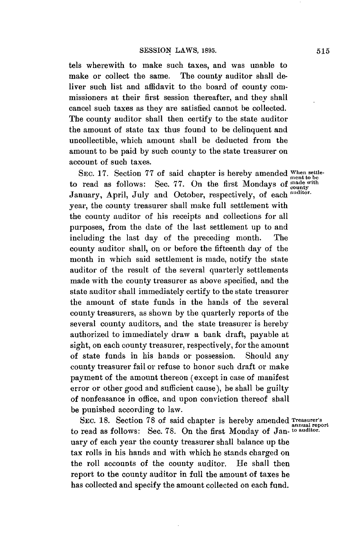tels wherewith to make such taxes, and was unable to make or collect the same. The county auditor shall deliver such list and affidavit to the board of county commissioners at their first session thereafter, and they shall cancel such taxes as they are satisfied cannot be collected. The county auditor shall then certify to the state auditor the amount of state tax thus found to be delinquent and uncollectible, which amount shall be deducted from the amount to be paid **by** such county to the state treasurer on account of such taxes.

SEC. 17. Section 77 of said chapter is hereby amended When settle to read as follows: Sec. 77. On the first Mondays of mentioder to read as follows: Sec. 77. On the first Mondays of mounty January, April, July and October, respectively, of each **auditor.** year, the county treasurer shall make full settlement with the county auditor of his receipts and collections for all purposes, from the date of the last settlement up to and including the last day of the preceding month. The county auditor shall, on or before the fifteenth day of the month in which said settlement is made, notify the state auditor of the result of the several quarterly settlements made with the county treasurer as above specified, and the state auditor shall immediately certify to the state treasurer the amount of state funds in the hands of the several county treasurers, as shown **by** the quarterly reports of the several county auditors, and the state treasurer is hereby authorized to immediately draw a bank draft, payable at sight, on each county treasurer, respectively, for the amount of state funds in his bands or possession. Should any county treasurer fail or refuse to honor such draft or make payment of the amount thereon (except in case of manifest error or other good and sufficient cause), be shall be guilty of nonfeasance in office, and upon conviction thereof shall be punished according to law.

**SEC. 18.** Section **78** of said chapter is hereby amended **Treasurer's annual report** to read as follows: Sec. **78.** On the first Monday of Jan- **to auditor.** uary of each year the county treasurer shall balance up the tax rolls in his hands and with which he stands charged on the roll accounts of the county auditor. He shall then report to the county auditor in full the amount of taxes he has collected and specify the amount collected on each fund.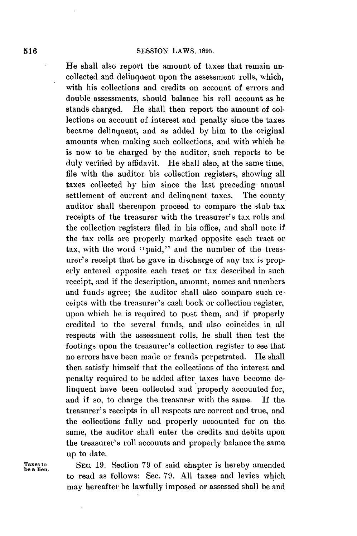He shall also report the amount of taxes that remain uncollected and delinquent upon the assessment rolls, which, with his collections and credits on account of errors and double assessments, should balance his roll account as he stands charged. **He** shall then report the amount of collections on account of interest and penalty since the taxes became delinquent, and as added **by** him to the original amounts when making such collections, and with which he is now to be charged **by** the auditor, such reports to be duly verified **by** affidavit. He shall also, at the same time, file with the auditor his collection registers, showing all taxes collected **by** him since the last preceding annual settlement of current and delinquent taxes. The county auditor shall thereupon proceed to compare the stub tax receipts of the treasurer with the treasurer's tax rolls and the collection registers **filed** in his office, and shall note if the tax rolls are properly marked opposite each tract or tax, with the word "paid," and the number of the treasurer's receipt that he gave in discharge of any tax is properly entered opposite each tract or tax described in such receipt, and if the description, amount, names and numbers and funds agree; the auditor shall also compare such receipts with the treasurer's cash book or collection register, upon which he is required to post them, and if properly credited to the several funds, and also coincides in all respects with the assessment rolls, he shall then test the footings upon the treasurer's collection register to see that no errors have been made or frauds perpetrated. He shall then satisfy himself that the collections of the interest and penalty required to be added after taxes have become delinquent have been collected and properly accounted for, and if so, to charge the treasurer with the same. **If** the treasurer's receipts in all respects are correct and true, and the collections fully and properly accounted for on the same, the auditor shall enter the credits and debits upon the treasurer's roll accounts and properly balance the same up to date.

**Taxesto SEC. 19.** Section **79** of said chapter is hereby amended be **a** lien. to read as follows: Sec. **79. All** taxes and levies which may hereafter be lawfully imposed or assessed shall be and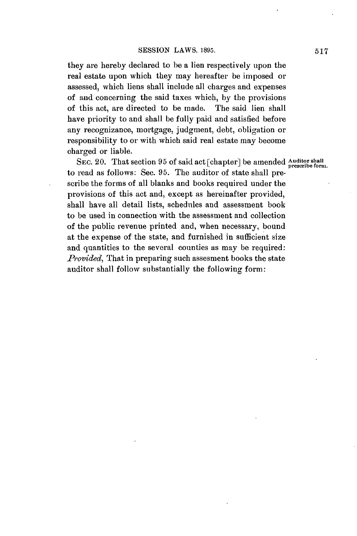they are hereby declared to be a lien respectively upon the real estate upon which they may hereafter be imposed or assessed, which liens shall include all charges and expenses of **and** concerning the said taxes which, **by** the provisions of this act, are directed to be made. The said lien shall have priority to and shall be fully paid and satisfied before any recognizance, mortgage, judgment, debt, obligation or responsibility to or with which said real estate may become charged or liable.

SEC. 20. That section 95 of said act [chapter] be amended Auditor shall<br>prescribe form. to read as follows: Sec. **95.** The auditor of state shall prescribe the forms of all blanks and books required under the provisions of this act and, except as hereinafter provided, shall have all detail lists, schedules and assessment book to be used in connection with the assessment and collection of the public revenue printed and, when necessary, bound at the expense of the state, and furnished in sufficient size and quantities to the several counties as may be required: *Provided,* That in preparing such assesment books the state auditor shall follow substantially the following form: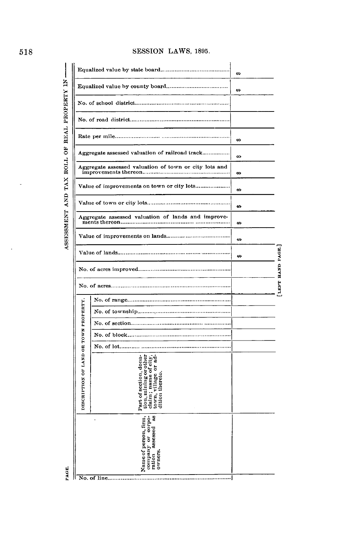# **518 SESSION** LAWS, **1895.**

ASSESSMENT AND TAX ROLL OF REAL PROPERTY IN ---

|                                       | Equalized value by state board                                                                                                | œ   |                 |
|---------------------------------------|-------------------------------------------------------------------------------------------------------------------------------|-----|-----------------|
|                                       |                                                                                                                               | to. |                 |
|                                       |                                                                                                                               |     |                 |
|                                       |                                                                                                                               |     |                 |
|                                       |                                                                                                                               | tG. |                 |
|                                       | Aggregate assessed valuation of railroad track                                                                                | Ø.  |                 |
|                                       | Aggregate assessed valuation of town or city lots and<br>improvements thereon                                                 | œ   |                 |
|                                       | Value of improvements on town or city lots                                                                                    | Ø.  |                 |
|                                       |                                                                                                                               | ts. |                 |
|                                       | Aggregate assessed valuation of lands and improve-<br>ments thereon                                                           | œ   |                 |
|                                       | Value of improvements on lands                                                                                                | tG. |                 |
|                                       |                                                                                                                               | œ   |                 |
|                                       |                                                                                                                               |     | LEFT HAND PAGE. |
|                                       |                                                                                                                               |     |                 |
|                                       |                                                                                                                               |     |                 |
|                                       |                                                                                                                               |     |                 |
|                                       |                                                                                                                               |     |                 |
|                                       | No. of block                                                                                                                  |     |                 |
|                                       |                                                                                                                               |     |                 |
| DESCRIPTION OF LAND OR TOWN PROPERTY. | tion, mining or other<br>claim ; name of city,<br>town, village or ad-<br>Part of section, dona-<br>village<br>dition thereto |     |                 |
|                                       | g<br>corpo-<br>Name of person, firm,<br>nssessed<br>company or<br>owners<br>ration<br>No. of line                             |     |                 |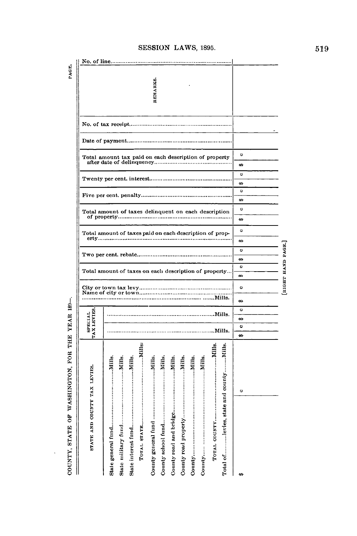| WASHINGTON, FOR THE YEAR 189-<br>Ğ<br><b>STATE</b><br>COUNTY, |                              |                           |                                               |                                                       |                    |   |                                                         |                       |                                                      |   |                           |                |                                                       |  |          | PAGE.       |  |
|---------------------------------------------------------------|------------------------------|---------------------------|-----------------------------------------------|-------------------------------------------------------|--------------------|---|---------------------------------------------------------|-----------------------|------------------------------------------------------|---|---------------------------|----------------|-------------------------------------------------------|--|----------|-------------|--|
| STATE AND COUNTY TAX LEVIES.                                  | TAX LEVIES<br><b>SPECIAL</b> |                           |                                               |                                                       |                    |   | erty                                                    |                       |                                                      |   |                           |                |                                                       |  |          |             |  |
| Total oflevies, state and countyNills                         | Mills.<br>Mills.             | Mills.                    | City or town tax levy<br>Name of city or town | Total amount of taxes on each description of property |                    |   | Total amount of taxes paid on each description of prop- |                       | Total amount of taxes delinquent on each description |   |                           |                | Total amount tax paid on each description of property |  | REMARKS. | No. of line |  |
| O                                                             | œ<br>$\bullet$<br>œ          | œ<br>$\ddot{\phantom{0}}$ | $\bullet$                                     | æ                                                     | ċΘ<br>$\mathbf{c}$ | O | œ                                                       | œ<br>$\mathbf{\circ}$ | $\circ$                                              | ₩ | œ<br>$\ddot{\phantom{0}}$ | $\ddot{\circ}$ | ပ<br>œ                                                |  |          |             |  |
|                                                               |                              |                           | RIGHT HAND PAGE.                              |                                                       |                    |   |                                                         |                       |                                                      |   |                           |                |                                                       |  |          |             |  |

 $\ddot{\phantom{0}}$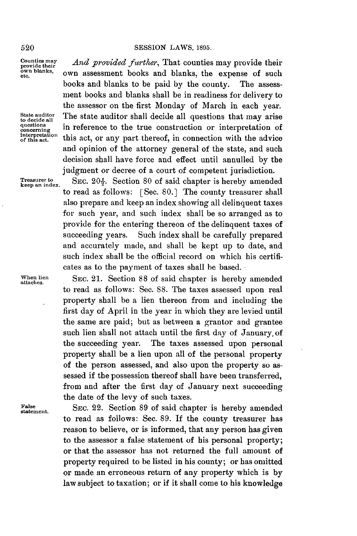### 520 **SESSION** LAWS, **1895.**

**Counties may** *And provided further*, That counties may provide their own blanks, own assessment books and blanks, the expense of such books and blanks to be paid **by** the county. The assessment books and blanks shall be in readiness for delivery to the assessor on the first Monday of March in each year. State auditor **State auditor shall decide all questions that may arise** to decide all questions that may arise questions in profousness to the tune construction or intermetation of questions in reference to the true construction or interpretation of interpretation this act, or any part thereof, in connection with the advice this act, or any part thereof, in connection with the advice and opinion of the attorney general of the state, and such decision shall have force and effect until annulled **by** the judgment or decree of a court of competent jurisdiction.

**Treasurer to SEC.**  $20\frac{1}{2}$ . Section 80 of said chapter is hereby amended to read as follows: [Sec. **80.]** The county treasurer shall also prepare and keep an index showing all delinquent taxes for such year, and such index shall be so arranged as to provide for the entering thereon of the delinquent taxes of succeeding years. Such index shall be carefully prepared and accurately made, and shall **be** kept up to date, and such index shall be the official record on which his certificates as to the payment of taxes shall be based.

When lien SEC. 21. Section 88 of said chapter is hereby amended to read as follows: Sec. **88.** The taxes assessed upon real property shall **be** a lien thereon from and including the first day of April in the year in which they are levied until the same are paid; but as between a grantor and grantee such lien shall not attach until the first day of January, of the succeeding year. The taxes assessed upon personal property shall be a lien upon **all** of the personal property of the person assessed, and also upon the property so assessed if the possession thereof shall have been transferred, from and after the first day of January next succeeding the date of the levy of such taxes.

False **SEC. 22.** Section 89 of said chapter is hereby amended to read as follows: Sec. **89. If** the county treasurer has reason to believe, or is informed, that any person has given to the assessor a false statement of his personal property; or that the assessor has not returned the full amount of property required to be listed in his county; or has omitted or made an erroneous return of any property which is **by** law subject to taxation; or if it shall come to his knowledge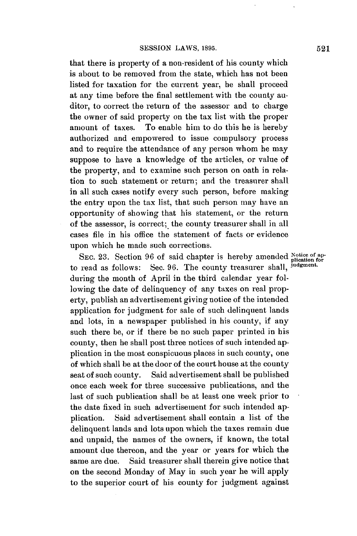that there is property of a non-resident of his county which is about to be removed from the state, which has not been listed for taxation for the current year, he shall proceed at any time before the final settlement with the county auditor, to correct the return of the assessor and to charge the owner of said property on the tax list with the proper amount of taxes. To enable him to do this he is hereby authorized and empowered to issue compulsory process and to require the attendance of any person whom he may suppose to have a knowledge of the articles, or value of the property, and to examine such person on oath in relation to such statement or return; and the treasurer shall in all such cases notify every such person, before making the entry upon the tax list, that such person may have an opportunity of showing that his statement, or the return of the assessor, is correct; the county treasurer shall in all cases file in his office the statement of facts or evidence upon which he made such corrections.

SEC. 23. Section 96 of said chapter is hereby amended Notice of apto read as follows: Sec. **96.** The county treasurer shall, **judgment.** during the month of April in the third calendar year following the date of delinquency of any taxes on real property, publish an advertisement giving notice of the intended application for judgment for sale of such delinquent lands and lots, in a newspaper published in his county, if any such there be, or if there be no such paper printed in his county, then he shall post three notices of such intended application in the most conspicuous places in such county, one of which shall be at the door of the court house at the county seat of such county. Said advertisement shall be published once each week for three successive publications, and the last of such publication shall be at least one week prior to the date fixed in such advertisement for such intended application. Said advertisement shall contain a list of the delinquent lands and lots upon which the taxes remain due and unpaid, the names of the owners, if known, the total amount due thereon, and the year or years for which the same are due. Said treasurer shall therein give notice that on the second Monday of May in such year he will apply to the superior court of his county for judgment against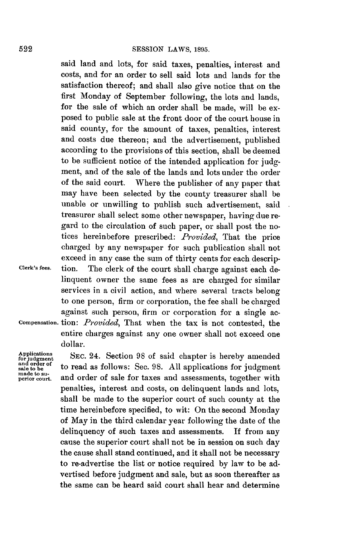### **SESSION** LAWS, **1895.**

said land and lots, for said taxes, penalties, interest and costs, and for an order to sell said lots and lands for the satisfaction thereof; and shall also give notice that on the first Monday of September following, the lots and lands, for the sale of which an order shall be made, will be exposed to public sale at the front door of the court house in said county, for the amount of taxes, penalties, interest and costs due thereon; and the advertisement, published according to the provisions of this section, shall be deemed to be sufficient notice of the intended application for **judg**ment, and of the sale of the lands and lots under the order of the said court. Where the publisher of any paper that may have been selected **by** the county treasurer shall be unable or unwilling to publish such advertisement, said treasurer shall select some other newspaper, having due regard to the circulation of such paper, or shall post the notices hereinbefore prescribed: *Provided,* That the price charged **by** any newspaper for such publication shall not exceed in any case the sum of thirty cents for each descrip-**Clerk's fees.** tion. The clerk of the court shall charge against each delinquent owner the same fees as are charged for similar services in a civil action, and where several tracts belong to one person, firm or corporation, the fee shall be charged against such person, firm or corporation for a single ac-**Compensation.** tion: *Provided,* That when the tax is not contested, the entire charges against any one owner shall not exceed one dollar.

**Applications** SEC. 24. Section 98 of said chapter is hereby amended for judgment <br>and order of the read as follows: See 98. All applications for judgment and order of  $~$  to read as follows: Sec. 98. All applications for judgment made to sumage to su-. **and order of sale for taxes and assessments, together with** penalties, interest and costs, on delinquent lands and lots, shall be made to the superior court of such county at the time hereinbefore specified, to wit: On the second Monday of May in the third calendar year following the date of the delinquency of such taxes and assessments. **If** from any cause the superior court shall not be in session on such day the cause shall stand continued, and it shall not be necessary to re-advertise the list or notice required **by** law to be advertised before judgment and sale, but as soon thereafter as the same can be heard said court shall hear and determine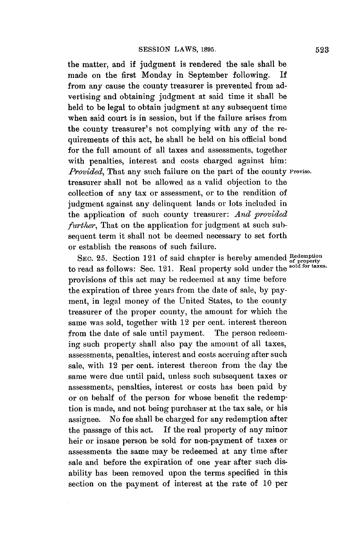the matter, and if judgment is rendered the sale shall be made on the first Monday in September following. If from any cause the county treasurer is prevented from advertising and obtaining judgment at said time it shall be held to be legal to obtain judgment at any subsequent time when said court is in session, but if the failure arises from the county treasurer's not complying with any of the requirements of this act, he shall be held on his official bond for the full amount of all taxes and assessments, together with penalties, interest and costs charged against him: *Provided,* That any such failure on the part of the county **Proviso.** treasurer shall not be allowed as a valid objection to the collection of any tax or assessment, or to the rendition of judgment against any delinquent lands or lots included in the application of such county treasurer: *And provided further*, That on the application for judgment at such subsequent term it shall not be deemed necessary to set forth or establish the reasons of such failure.

SEC. 25. Section 121 of said chapter is hereby amended  ${}_{\text{of property}}^{\text{Redempion}}$  to read as follows: Sec. 121. Real property sold under the <sup>sold for taxes</sup>. provisions of this act may be redeemed at any time before the expiration of three years from the date of sale, **by pay**ment, in legal money of the United States, to the county treasurer of the proper county, the amount for which the same was sold, together with 12 per cent. interest thereon from the date of sale until payment. The person redeeming such property shall also pay the amount of all taxes, assessments, penalties, interest and costs accruing after such sale, with 12 per cent. interest thereon from the day the same were due until paid, unless such subsequent taxes or assessments, penalties, interest or costs has been paid **by** or on behalf of the person for whose benefit the redemption is made, and not being purchaser at the tax sale, or his assignee. No fee shall be charged for any redemption after the passage of this act. **If** the real property of any minor heir or insane person be sold for non-payment of taxes or assessments the same may be redeemed at any time after sale and before the expiration of one year after such disability has been removed upon the terms specified in this section on the payment of interest at the rate of **10** per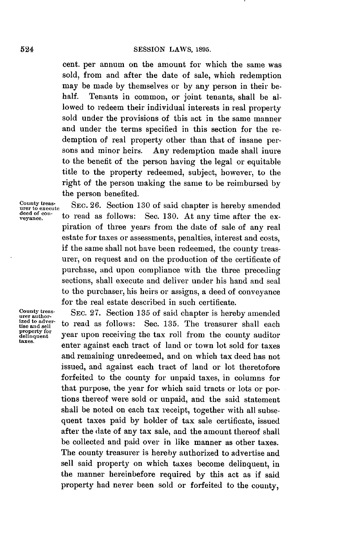cent. per annum on the amount for which the same was sold, from and after the date of sale, which redemption may be made **by** themselves or **by** any person in their behalf. Tenants in common, or joint tenants, shall be allowed to redeem their individual interests in real property sold under the provisions of this act in the same manner and under the terms specified in this section for the redemption of real property other than that of insane persons and minor heirs. Any redemption made shall inure to the benefit of the person having the legal or equitable title to the property redeemed, subject, however, to the right of the person making the same to be reimbursed **by** the person benefited.

County treas-<br> **SEC.** 26. Section 130 of said chapter is hereby amended<br> **u**er to execute SC  $\frac{120}{\pi}$  hereby mended deed of con-<br>veyance. to read as follows: Sec. 130. At any time after the expiration of three years from the date of sale of any real estate **for** taxes or assessments, penalties, interest and costs, if the same shall not have been redeemed, the county treasurer, on request and on the production of the certificate of purchase, and upon compliance with the three preceding sections, shall execute and deliver under his hand and seal to the purchaser, his heirs or assigns, a deed of conveyance for the real estate described in such certificate.

**County urer authorproperty for**

SEC. 27. Section 135 of said chapter is hereby amended ized to adver-<br>tise and sell to read as follows: Sec. 135. The treasurer shall each property for year upon receiving the tax roll from the county auditor taxes.<br>taxes. enter against each tract of land or town lot sold for taxes and remaining unredeemed, and on which tax deed has not issued, and against each tract of land or lot theretofore forfeited to the county for unpaid taxes, in columns for that purpose, the year for which said tracts or lots or portions thereof were sold or unpaid, and the said statement shall be noted on each tax receipt, together with all subsequent taxes paid **by** holder of tax sale certificate, issued after the date of any tax sale, and the amount thereof shall be collected and paid over in like manner as other taxes. The county treasurer is hereby authorized to advertise and sell said property on which taxes become delinquent, in the manner hereinbefore required **by** this act as if said property had never been sold or forfeited to the county,